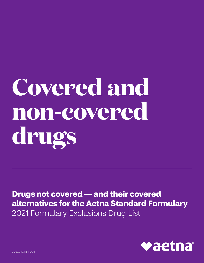# **Covered and non-covered drugs**

**Drugs not covered — and their covered alternatives for the Aetna Standard Formulary**  2021 Formulary Exclusions Drug List

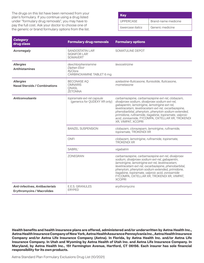The drugs on this list have been removed from your plan's formulary. If you continue using a drug listed under "formulary drug removals", you may have to pay the full cost. Ask your doctor to choose one of the generic or brand formulary options from the list.

| <b>Kev</b>        |                     |
|-------------------|---------------------|
| <b>UPPERCASE</b>  | Brand-name medicine |
| lowercase italics | Generic medicine    |

| <b>Category</b><br>drug class                                               | <b>Formulary drug removals</b>                                                | <b>Formulary options</b>                                                                                                                                                                                                                                                                                                                                                                              |
|-----------------------------------------------------------------------------|-------------------------------------------------------------------------------|-------------------------------------------------------------------------------------------------------------------------------------------------------------------------------------------------------------------------------------------------------------------------------------------------------------------------------------------------------------------------------------------------------|
| <b>Acromegaly</b>                                                           | <b>SANDOSTATIN LAR'</b><br>SIGNIFOR LAR <sup>1</sup><br>SOMAVERT <sup>1</sup> | SOMATULINE DEPOT                                                                                                                                                                                                                                                                                                                                                                                      |
| <b>Allergies</b><br><b>Antihistamines</b>                                   | dexchlorpheniramine<br>Diphen Elixir<br>RyClora<br>CARBINOXAMINE TABLET 6 mg  | levocetirizine                                                                                                                                                                                                                                                                                                                                                                                        |
| <b>Allergies</b><br><b>Nasal Steroids / Combinations</b>                    | <b>BECONASE AQ</b><br><b>OMNARIS</b><br>ONASL<br><b>ZETONNA</b>               | azelastine-fluticasone, flunisolide, fluticasone,<br>mometasone                                                                                                                                                                                                                                                                                                                                       |
| <b>Anticonvulsants</b>                                                      | topiramate ext-rel capsule<br>(generics for QUDEXY XR only)                   | carbamazepine, carbamazepine ext-rel, clobazam,<br>divalproex sodium, divalproex sodium ext-rel,<br>gabapentin, lamotrigine, lamotrigine ext-rel,<br>levetiracetam, levetiracetam ext-rel, oxcarbazepine,<br>phenobarbital, phenytoin, phenytoin sodium extended,<br>primidone, rufinamide, tiagabine, topiramate, valproic<br>acid, zonisamide, FYCOMPA, OXTELLAR XR, TROKENDI<br>XR, VIMPAT, XCOPRI |
|                                                                             | <b>BANZEL SUSPENSION</b>                                                      | clobazam, clonazepam, lamotrigine, rufinamide,<br>topiramate, TROKENDI XR                                                                                                                                                                                                                                                                                                                             |
|                                                                             | ONFI                                                                          | clobazam, lamotrigine, rufinamide, topiramate,<br><b>TROKENDI XR</b>                                                                                                                                                                                                                                                                                                                                  |
|                                                                             | SABRIL <sup>1</sup>                                                           | vigabatrin                                                                                                                                                                                                                                                                                                                                                                                            |
|                                                                             | <b>ZONEGRAN</b>                                                               | carbamazepine, carbamazepine ext-rel, divalproex<br>sodium, divalproex sodium ext-rel, gabapentin,<br>lamotrigine, lamotrigine ext-rel, levetiracetam,<br>levetiracetam ext-rel, oxcarbazepine, phenobarbital,<br>phenytoin, phenytoin sodium extended, primidone,<br>tiagabine, topiramate, valproic acid, zonisamide<br>FYCOMPA, OXTELLAR XR, TROKENDI XR, VIMPAT,<br><b>XCOPRI</b>                 |
| <b>Anti-infectives, Antibacterials</b><br><b>Erythromycins / Macrolides</b> | E.E.S. GRANULES<br><b>ERYPED</b>                                              | erythromycins                                                                                                                                                                                                                                                                                                                                                                                         |

**Health benefits and health insurance plans are offered, administered and/or underwritten by Aetna Health Inc., Aetna Health Insurance Company of New York, Aetna HealthAssurance Pennsylvania Inc., Aetna Health Insurance Company and/or Aetna Life Insurance Company (Aetna). In Florida, by Aetna Health Inc. and/or Aetna Life Insurance Company. In Utah and Wyoming by Aetna Health of Utah Inc. and Aetna Life Insurance Company. In Maryland, by Aetna Health Inc., 151 Farmington Avenue, Hartford, CT 06156. Each insurer has sole financial responsibility for its own products.**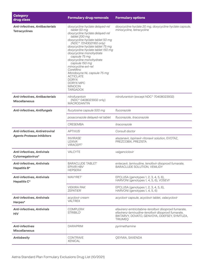| <b>Category</b><br>drug class                                               | <b>Formulary drug removals</b>                                                                                                                                                                                                                                                                                                                                                                                                                                                                     | <b>Formulary options</b>                                                                                                                                                        |
|-----------------------------------------------------------------------------|----------------------------------------------------------------------------------------------------------------------------------------------------------------------------------------------------------------------------------------------------------------------------------------------------------------------------------------------------------------------------------------------------------------------------------------------------------------------------------------------------|---------------------------------------------------------------------------------------------------------------------------------------------------------------------------------|
| Anti-infectives, Antibacterials<br><b>Tetracyclines</b>                     | doxycycline hyclate delayed-rel<br>tablet 50 mg<br>doxycycline hyclate delayed-rel<br>tablet 200 mg<br>doxycycline hyclate tablet 50 mg<br>(NDC^ 72143021160 only)<br>doxycycline hyclate tablet 75 mg<br>doxycycline hyclate tablet 150 mg<br>doxycycline monohydrate<br>capsule 75 mg<br>doxycycline monohydrate<br>capsule 150 mg<br>minocycline ext-rel<br>CoreMino<br>Mondoxyne NL capsule 75 mg<br><b>ACTICLATE</b><br><b>DORYX</b><br><b>DORYX MPC</b><br><b>MINOCIN</b><br><b>TARGADOX</b> | doxycycline hyclate 20 mg, doxycycline hyclate capsule,<br>minocycline, tetracycline                                                                                            |
| Anti-infectives, Antibacterials<br><b>Miscellaneous</b>                     | nitrofurantoin<br>(NDC^ 0408023932 only)<br><b>MACRODANTIN</b>                                                                                                                                                                                                                                                                                                                                                                                                                                     | nitrofurantoin (except NDC^ 70408023932)                                                                                                                                        |
| Anti-infectives, Antifungals                                                | flucytosine capsule 500 mg                                                                                                                                                                                                                                                                                                                                                                                                                                                                         | fluconazole                                                                                                                                                                     |
|                                                                             | posaconazole delayed-rel tablet                                                                                                                                                                                                                                                                                                                                                                                                                                                                    | fluconazole, itraconazole                                                                                                                                                       |
|                                                                             | <b>CRESEMBA</b>                                                                                                                                                                                                                                                                                                                                                                                                                                                                                    | itraconazole                                                                                                                                                                    |
| <b>Anti-infectives, Antiretroviral</b><br><b>Agents Protease Inhibitors</b> | <b>APTIVUS<sup>1</sup></b>                                                                                                                                                                                                                                                                                                                                                                                                                                                                         | Consult doctor                                                                                                                                                                  |
|                                                                             | <b>INVIRASE<sup>1</sup></b><br>LEXIVA <sup>1</sup><br><b>VIRACEPT</b>                                                                                                                                                                                                                                                                                                                                                                                                                              | atazanavir, lopinavir-ritonavir solution, EVOTAZ,<br>PREZCOBIX, PREZISTA                                                                                                        |
| <b>Anti-infectives, Antivirals</b><br>Cytomegalovirus*                      | VALCYTE                                                                                                                                                                                                                                                                                                                                                                                                                                                                                            | valganciclovir                                                                                                                                                                  |
| <b>Anti-infectives, Antivirals</b><br>Hepatitis B*                          | <b>BARACLUDE TABLET'</b><br>EPIVIR HBV <sup>1</sup><br><b>HEPSERA</b> <sup>1</sup>                                                                                                                                                                                                                                                                                                                                                                                                                 | entecavir, lamivudine, tenofovir disoproxil fumarate,<br>BARACLUDE SOLUTION, VEMLIDY                                                                                            |
| <b>Anti-infectives, Antivirals</b><br>Hepatitis C*                          | MAVYRET <sup>1</sup>                                                                                                                                                                                                                                                                                                                                                                                                                                                                               | EPCLUSA (genotypes 1, 2, 3, 4, 5, 6),<br>HARVONI (genotypes 1, 4, 5, 6), VOSEVI <sup>2</sup>                                                                                    |
|                                                                             | VIEKIRA PAK'<br>ZEPATIER <sup>1</sup>                                                                                                                                                                                                                                                                                                                                                                                                                                                              | EPCLUSA (genotypes 1, 2, 3, 4, 5, 6),<br>HARVONI (genotypes 1, 4, 5, 6)                                                                                                         |
| <b>Anti-infectives, Antivirals</b><br>Herpes*                               | acyclovir cream<br><b>VALTREX</b>                                                                                                                                                                                                                                                                                                                                                                                                                                                                  | acyclovir capsule, acyclovir tablet, valacyclovir                                                                                                                               |
| <b>Anti-infectives, Antivirals</b><br><b>HIV</b>                            | <b>COMPLERA</b><br><b>STRIBILD<sup>®</sup></b>                                                                                                                                                                                                                                                                                                                                                                                                                                                     | efavirenz-emtricitabine-tenofovir disoproxil fumarate,<br>efavirenz-lamivudine-tenofovir disoproxil fumarate,<br>BIKTARVY, DOVATO, GENVOYA, ODEFSEY, SYMTUZA,<br><b>TRIUMEO</b> |
| <b>Anti-infectives</b><br><b>Miscellaneous</b>                              | <b>DARAPRIM</b>                                                                                                                                                                                                                                                                                                                                                                                                                                                                                    | pyrimethamine                                                                                                                                                                   |
| <b>Antiobesity</b>                                                          | <b>CONTRAVE</b><br><b>XENICAL</b>                                                                                                                                                                                                                                                                                                                                                                                                                                                                  | QSYMIA, SAXENDA                                                                                                                                                                 |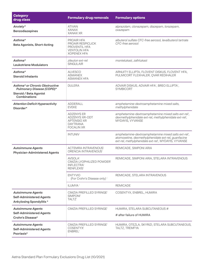| <b>Category</b><br>drug class                                                                                | <b>Formulary drug removals</b>                                                                                           | <b>Formulary options</b>                                                                                                                                                                    |
|--------------------------------------------------------------------------------------------------------------|--------------------------------------------------------------------------------------------------------------------------|---------------------------------------------------------------------------------------------------------------------------------------------------------------------------------------------|
| Anxiety*<br><b>Benzodiazepines</b>                                                                           | <b>ATIVAN</b><br><b>XANAX</b><br><b>XANAX XR</b>                                                                         | alprazolam, clonazepam, diazepam, lorazepam,<br>oxazepam                                                                                                                                    |
| Asthma*<br><b>Beta Agonists, Short-Acting</b>                                                                | PROAIR HFA<br>PROAIR RESPICLICK<br>PROVENTIL HFA<br><b>VENTOLIN HFA</b><br><b>XOPENEX HFA</b>                            | albuterol sulfate CFC-free aerosol, levalbuterol tartrate<br>CFC-free aerosol                                                                                                               |
| Asthma*<br><b>Leukotriene Modulators</b>                                                                     | zileuton ext-rel<br><b>SINGULAIR</b>                                                                                     | montelukast, zafirlukast                                                                                                                                                                    |
| Asthma*<br><b>Steroid Inhalants</b>                                                                          | <b>ALVESCO</b><br><b>ASMANEX</b><br><b>ASMANEX HFA</b>                                                                   | ARNUITY ELLIPTA, FLOVENT DISKUS, FLOVENT HFA,<br>PULMICORT FLEXHALER, QVAR REDIHALER                                                                                                        |
| Asthma* or Chronic Obstructive<br>Pulmonary Disease (COPD)*<br><b>Steroid / Beta Agonist</b><br>Combinations | <b>DULERA</b>                                                                                                            | ADVAIR DISKUS, ADVAIR HFA <sup>†</sup> , BREO ELLIPTA <sup>†</sup> ,<br><b>SYMBICORT</b>                                                                                                    |
| <b>Attention Deficit Hyperactivity</b><br>Disorder*                                                          | ADDERALL<br><b>EVEKE</b>                                                                                                 | amphetamine-dextroamphetamine mixed salts,<br>methylphenidate                                                                                                                               |
|                                                                                                              | <b>ADZENYS ER</b><br>ADZENYS XR-ODT<br><b>APTENSIO XR</b><br><b>DAYTRANA</b><br><b>FOCALIN XR</b>                        | amphetamine-dextroamphetamine mixed salts ext-rel <sup>t</sup> ,<br>dexmethylphenidate ext-rel, methylphenidate ext-rel <sup>t</sup> ,<br>MYDAYIS, VYVANSE                                  |
|                                                                                                              | <b>INTUNIV</b>                                                                                                           | amphetamine-dextroamphetamine mixed salts ext-rel <sup>t</sup> ,<br>atomoxetine, dexmethylphenidate ext-rel, guanfacine<br>ext-rel, methylphenidate ext-rel <sup>t</sup> , MYDAYIS, VYVANSE |
| <b>Autoimmune Agents</b><br><b>Physician-Administered Agents</b>                                             | ACTEMRA INTRAVENOUS <sup>1</sup><br>ORENCIA INTRAVENOUS <sup>1</sup>                                                     | REMICADE, SIMPONI ARIA                                                                                                                                                                      |
|                                                                                                              | <b>AVSOLA<sup>1</sup></b><br>CIMZIA LYOPHILIZED POWDER'<br><b>INFLECTRA</b> <sup>1</sup><br><b>RENFLEXIS<sup>1</sup></b> | REMICADE, SIMPONI ARIA, STELARA INTRAVENOUS                                                                                                                                                 |
|                                                                                                              | <b>ENTYVIO</b><br>(For Crohn's Disease only) <sup>1</sup>                                                                | REMICADE, STELARA INTRAVENOUS                                                                                                                                                               |
|                                                                                                              | ILUMYA <sup>1</sup>                                                                                                      | <b>REMICADE</b>                                                                                                                                                                             |
| <b>Autoimmune Agents</b><br><b>Self-Administered Agents</b><br>Ankylosing Spondylitis*                       | CIMZIA PREFILLED SYRINGE <sup>®</sup><br>SIMPONI <sup>1</sup><br>TALTZ <sup>1</sup>                                      | COSENTYX, ENBREL, HUMIRA                                                                                                                                                                    |
| <b>Autoimmune Agents</b><br><b>Self-Administered Agents</b><br>Crohn's Disease*                              | CIMZIA PREFILLED SYRINGE'                                                                                                | HUMIRA, STELARA SUBCUTANEOUS #<br># after failure of HUMIRA                                                                                                                                 |
| <b>Autoimmune Agents</b><br><b>Self-Administered Agents</b><br>Psoriasis*                                    | CIMZIA PREFILLED SYRINGE'<br>COSENTYX <sup>1</sup><br>ENBREL <sup>1</sup>                                                | HUMIRA, OTEZLA, SKYRIZI, STELARA SUBCUTANEOUS,<br>TALTZ, TREMFYA                                                                                                                            |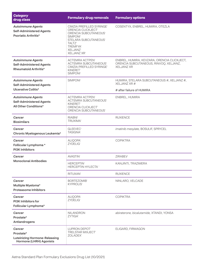| <b>Category</b><br>drug class                                                                 | <b>Formulary drug removals</b>                                                                                                                                                                                                      | <b>Formulary options</b>                                                                                   |  |
|-----------------------------------------------------------------------------------------------|-------------------------------------------------------------------------------------------------------------------------------------------------------------------------------------------------------------------------------------|------------------------------------------------------------------------------------------------------------|--|
| <b>Autoimmune Agents</b><br><b>Self-Administered Agents</b><br>Psoriatic Arthritis*           | CIMZIA PREFILLED SYRINGE <sup>®</sup><br>ORENCIA CLICKJECT'<br>ORENCIA SUBCUTANEOUS'<br><b>SIMPONI</b> <sup>1</sup><br>STELARA SUBCUTANEOUS <sup>1</sup><br><b>TALTZ'</b><br><b>TREMFYA'</b><br>XELJANZ <sup>1</sup><br>XELJANZ XR1 | COSENTYX, ENBREL, HUMIRA, OTEZLA                                                                           |  |
| <b>Autoimmune Agents</b><br><b>Self-Administered Agents</b><br><b>Rheumatoid Arthritis*</b>   | <b>ACTEMRA ACTPEN'</b><br><b>ACTEMRA SUBCUTANEOUS®</b><br>CIMZIA PREFILLED SYRINGE'<br>KINERET <sup>®</sup><br>SIMPONI <sup>1</sup>                                                                                                 | ENBREL, HUMIRA, KEVZARA, ORENCIA CLICKJECT,<br>ORENCIA SUBCUTANEOUS, RINVOQ, XELJANZ,<br><b>XELJANZ XR</b> |  |
| <b>Autoimmune Agents</b><br><b>Self-Administered Agents</b>                                   | SIMPONI <sup>1</sup>                                                                                                                                                                                                                | HUMIRA, STELARA SUBCUTANEOUS #, XELJANZ #,<br>XELJANZ XR #                                                 |  |
| Ulcerative Colitis*                                                                           |                                                                                                                                                                                                                                     | # after failure of HUMIRA                                                                                  |  |
| <b>Autoimmune Agents</b><br><b>Self-Administered Agents</b><br>All Other Conditions*          | <b>ACTEMRA ACTPEN'</b><br>ACTEMRA SUBCUTANEOUS'<br>KINERET <sup>®</sup><br>ORENCIA CLICKJECT'<br>ORENCIA SUBCUTANEOUS <sup>1</sup>                                                                                                  | ENBREL, HUMIRA                                                                                             |  |
| Cancer<br><b>Biosimilars</b>                                                                  | RIABNI <sup>1</sup><br>TRUXIMA <sup>1</sup>                                                                                                                                                                                         | <b>RUXIENCE</b>                                                                                            |  |
| Cancer<br>Chronic Myelogenous Leukemia*                                                       | GLEEVEC <sup>1</sup><br><b>TASIGNA</b>                                                                                                                                                                                              | imatinib mesylate, BOSULIF, SPRYCEL                                                                        |  |
| Cancer<br>Follicular Lymphoma*<br><b>PI3K Inhibitors</b>                                      | ALIQOPA <sup>1</sup><br>ZYDELIG1                                                                                                                                                                                                    | <b>COPIKTRA</b>                                                                                            |  |
| Cancer                                                                                        | <b>AVASTIN</b> <sup>1</sup>                                                                                                                                                                                                         | <b>ZIRABEV</b>                                                                                             |  |
| <b>Monoclonal Antibodies</b>                                                                  | <b>HERCEPTIN'</b><br>HERCEPTIN HYLECTA <sup>1</sup>                                                                                                                                                                                 | KANJINTI, TRAZIMERA                                                                                        |  |
|                                                                                               | RITUXAN <sup>1</sup>                                                                                                                                                                                                                | <b>RUXIENCE</b>                                                                                            |  |
| Cancer<br>Multiple Myeloma*<br><b>Proteasome Inhibitors</b>                                   | <b>BORTEZOMIB</b><br><b>KYPROLIS'</b>                                                                                                                                                                                               | NINLARO, VELCADE                                                                                           |  |
| Cancer<br><b>PI3K Inhibitors for</b><br>Follicular Lymphoma*                                  | ALIQOPA <sup>1</sup><br>ZYDELIG1                                                                                                                                                                                                    | <b>COPIKTRA</b>                                                                                            |  |
| Cancer<br>Prostate*<br>Antiandrogens                                                          | <b>NILANDRON</b><br>ZYTIGA <sup>1</sup>                                                                                                                                                                                             | abiraterone, bicalutamide, XTANDI, YONSA                                                                   |  |
| Cancer<br>Prostate*<br><b>Luteinizing Hormone-Releasing</b><br><b>Hormone (LHRH) Agonists</b> | LUPRON DEPOT'<br>TRELSTAR MIXJECT'<br>ZOLADEX <sup>1</sup>                                                                                                                                                                          | ELIGARD, FIRMAGON                                                                                          |  |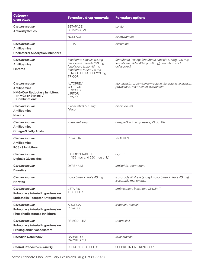| <b>Category</b><br>drug class                                                                                                    | <b>Formulary drug removals</b>                                                                                                                               | <b>Formulary options</b>                                                                                                    |
|----------------------------------------------------------------------------------------------------------------------------------|--------------------------------------------------------------------------------------------------------------------------------------------------------------|-----------------------------------------------------------------------------------------------------------------------------|
| Cardiovascular<br>Antiarrhythmics                                                                                                | <b>BETAPACE</b><br><b>BETAPACE AF</b>                                                                                                                        | sotalol                                                                                                                     |
|                                                                                                                                  | <b>NORPACE</b>                                                                                                                                               | disopyramide                                                                                                                |
| Cardiovascular<br><b>Antilipemics</b><br><b>Cholesterol Absorption Inhibitors</b>                                                | <b>ZETIA</b>                                                                                                                                                 | ezetimibe                                                                                                                   |
| Cardiovascular<br><b>Antilipemics</b><br><b>Fibrates</b>                                                                         | fenofibrate capsule 50 mg<br>fenofibrate capsule 130 mg<br>fenofibrate tablet 40 mg<br>fenofibrate tablet 120 mg<br>FENOGLIDE TABLET 120 mg<br><b>TRICOR</b> | fenofibrate (except fenofibrate capsule 50 mg, 130 mg;<br>fenofibrate tablet 40 mg, 120 mg), fenofibric acid<br>delayed-rel |
| Cardiovascular<br><b>Antilipemics</b><br><b>HMG-CoA Reductase Inhibitors</b><br>(HMGs or Statins) /<br>Combinations <sup>3</sup> | <b>ALTOPREV</b><br><b>CRESTOR</b><br><b>LESCOL XL</b><br><b>LIPITOR</b><br><b>LIVALO</b>                                                                     | atorvastatin, ezetimibe-simvastatin, fluvastatin, lovastatin,<br>pravastatin, rosuvastatin, simvastatin                     |
| Cardiovascular<br><b>Antilipemics</b><br><b>Niacins</b>                                                                          | niacin tablet 500 mg<br>Niacor                                                                                                                               | niacin ext-rel                                                                                                              |
| Cardiovascular<br><b>Antilipemics</b><br><b>Omega-3 Fatty Acids</b>                                                              | icosapent ethyl                                                                                                                                              | omega-3 acid ethyl esters, VASCEPA                                                                                          |
| Cardiovascular<br><b>Antilipemics</b><br><b>PCSK9 Inhibitors</b>                                                                 | <b>REPATHA</b>                                                                                                                                               | <b>PRALUENT</b>                                                                                                             |
| Cardiovascular<br><b>Digitalis Glycosides</b>                                                                                    | <b>LANOXIN TABLET</b><br>(125 mcg and 250 mcg only)                                                                                                          | digoxin                                                                                                                     |
| Cardiovascular<br><b>Diuretics</b>                                                                                               | <b>DYRENIUM</b>                                                                                                                                              | amiloride, triamterene                                                                                                      |
| Cardiovascular<br><b>Nitrates</b>                                                                                                | isosorbide dinitrate 40 mg                                                                                                                                   | isosorbide dinitrate (except isosorbide dinitrate 40 mg),<br>isosorbide mononitrate                                         |
| Cardiovascular<br><b>Pulmonary Arterial Hypertension</b><br><b>Endothelin Receptor Antagonists</b>                               | LETAIRIS <sup>1</sup><br><b>TRACLEER</b> <sup>1</sup>                                                                                                        | ambrisentan, bosentan, OPSUMIT                                                                                              |
| Cardiovascular<br><b>Pulmonary Arterial Hypertension</b><br>Phosphodiesterase Inhibitors                                         | <b>ADCIRCA</b> <sup>1</sup><br><b>REVATIO1</b>                                                                                                               | sildenafil, tadalafil                                                                                                       |
| Cardiovascular<br><b>Pulmonary Arterial Hypertension</b><br><b>Prostaglandin Vasodilators</b>                                    | REMODULIN <sup>1</sup>                                                                                                                                       | treprostinil                                                                                                                |
| <b>Carnitine Deficiency</b>                                                                                                      | <b>CARNITOR</b><br><b>CARNITOR SF</b>                                                                                                                        | levocarnitine                                                                                                               |
| <b>Central Precocious Puberty</b>                                                                                                | LUPRON DEPOT-PED'                                                                                                                                            | SUPPRELIN LA, TRIPTODUR                                                                                                     |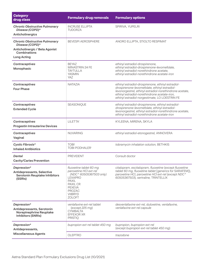| <b>Category</b><br>drug class                                                                       | <b>Formulary drug removals</b>                                                                                                                                                    | <b>Formulary options</b>                                                                                                                                                                                                                                           |
|-----------------------------------------------------------------------------------------------------|-----------------------------------------------------------------------------------------------------------------------------------------------------------------------------------|--------------------------------------------------------------------------------------------------------------------------------------------------------------------------------------------------------------------------------------------------------------------|
| <b>Chronic Obstructive Pulmonary</b><br>Disease (COPD)*<br>Anticholinergics                         | <b>INCRUSE ELLIPTA</b><br><b>TUDORZA</b>                                                                                                                                          | SPIRIVA, YUPELRI                                                                                                                                                                                                                                                   |
| <b>Chronic Obstructive Pulmonary</b><br>Disease (COPD)*                                             | <b>BEVESPI AEROSPHERE</b>                                                                                                                                                         | ANORO ELLIPTA, STIOLTO RESPIMAT                                                                                                                                                                                                                                    |
| Anticholinergic / Beta Agonist<br>Combinations                                                      |                                                                                                                                                                                   |                                                                                                                                                                                                                                                                    |
| <b>Long Acting</b>                                                                                  |                                                                                                                                                                                   |                                                                                                                                                                                                                                                                    |
| Contraceptives<br>Monophasic                                                                        | <b>BEYAZ</b><br>MINASTRIN 24 FE<br><b>TAYTULLA</b><br><b>YASMIN</b><br>YAZ                                                                                                        | ethinyl estradiol-drospirenone,<br>ethinyl estradiol-drospirenone-levomefolate,<br>ethinyl estradiol-norethindrone acetate,<br>ethinyl estradiol-norethindrone acetate-iron                                                                                        |
| Contraceptives<br><b>Four Phase</b>                                                                 | <b>NATAZIA</b>                                                                                                                                                                    | ethinyl estradiol-drospirenone, ethinyl estradiol-<br>drospirenone-levomefolate, ethinyl estradiol-<br>levonorgestrel, ethinyl estradiol-norethindrone acetate,<br>ethinyl estradiol-norethindrone acetate-iron,<br>ethinyl estradiol-norgestimate, LO LOESTRIN FE |
| Contraceptives<br><b>Extended Cycle</b>                                                             | SEASONIQUE                                                                                                                                                                        | ethinyl estradiol-drospirenone, ethinyl estradiol-<br>drospirenone-levomefolate, ethinyl estradiol-<br>levonorgestrel, ethinyl estradiol-norethindrone acetate,<br>ethinyl estradiol-norethindrone acetate-iron                                                    |
| Contraceptives<br><b>Progestin Intrauterine Devices</b>                                             | LILETTA <sup>1</sup>                                                                                                                                                              | KYLEENA, MIRENA, SKYLA                                                                                                                                                                                                                                             |
| Contraceptives<br>Vaginal                                                                           | <b>NUVARING</b>                                                                                                                                                                   | ethinyl estradiol-etonogestrel, ANNOVERA                                                                                                                                                                                                                           |
| Cystic Fibrosis*<br><b>Inhaled Antibiotics</b>                                                      | <b>TOBI</b><br><b>TOBI PODHALER'</b>                                                                                                                                              | tobramycin inhalation solution, BETHKIS                                                                                                                                                                                                                            |
| Dental<br><b>Cavity/Caries Prevention</b>                                                           | <b>PREVIDENT</b>                                                                                                                                                                  | Consult doctor                                                                                                                                                                                                                                                     |
| Depression*<br><b>Antidepressants, Selective</b><br><b>Serotonin Reuptake Inhibitors</b><br>(SSRIs) | fluoxetine tablet 60 mg<br>paroxetine HCl ext-rel<br>(NDC^ 60505367503 only)<br>LEXAPRO<br><b>PAXIL</b><br>PAXIL CR<br><b>PEXEVA</b><br>PROZAC<br><b>VIIBRYD</b><br><b>ZOLOFT</b> | citalopram, escitalopram, fluoxetine (except fluoxetine<br>tablet 60 mg, fluoxetine tablet [generics for SARAFEM]),<br>paroxetine HCl, paroxetine HCl ext-rel (except NDC^<br>60505367503), sertraline, TRINTELLIX                                                 |
| Depression*<br>Antidepressants, Serotonin<br>Norepinephrine Reuptake<br><b>Inhibitors (SNRIs)</b>   | venlafaxine ext-rel tablet<br>(except 225 mg)<br>CYMBALTA<br><b>EFFEXOR XR</b><br><b>PRISTIQ</b>                                                                                  | desvenlafaxine ext-rel, duloxetine, venlafaxine,<br>venlafaxine ext-rel capsule                                                                                                                                                                                    |
| Depression*<br>Antidepressants,                                                                     | bupropion ext-rel tablet 450 mg                                                                                                                                                   | bupropion, bupropion ext-rel<br>(except bupropion ext-rel tablet 450 mg)                                                                                                                                                                                           |
| <b>Miscellaneous Agents</b>                                                                         | OLEPTRO                                                                                                                                                                           | trazodone                                                                                                                                                                                                                                                          |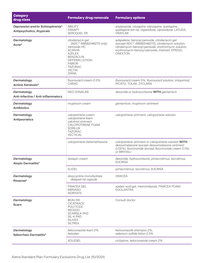| <b>Category</b><br>drug class                                        | <b>Formulary drug removals</b>                                                                                                                                                                  | <b>Formulary options</b>                                                                                                                                                                                                        |
|----------------------------------------------------------------------|-------------------------------------------------------------------------------------------------------------------------------------------------------------------------------------------------|---------------------------------------------------------------------------------------------------------------------------------------------------------------------------------------------------------------------------------|
| Depression and/or Schizophrenia*<br><b>Antipsychotics, Atypicals</b> | <b>ABILIFY</b><br><b>FANAPT</b><br>SEROQUEL XR                                                                                                                                                  | aripiprazole, clozapine, olanzapine, quetiapine,<br>quetiapine ext-rel, risperidone, ziprasidone, LATUDA,<br><b>VRAYLAR</b>                                                                                                     |
| Dermatology<br>Acne*                                                 | clindamycin gel<br>(NDC^ 68682046275 only)<br>Vanoxide-HC<br><b>ACANYA</b><br><b>AZELEX</b><br><b>BENZACLIN</b><br>DIFFERIN LOTION<br><b>FABIOR</b><br><b>TAZORAC</b><br><b>VELTIN</b><br>ZIANA | adapalene, benzoyl peroxide, clindamycin gel<br>(except NDC^ 68682046275), clindamycin solution,<br>clindamycin-benzoyl peroxide, erythromycin solution,<br>erythromycin-benzoyl peroxide, tretinoin, EPIDUO,<br><b>ONEXTON</b> |
| Dermatology<br><b>Actinic Keratosis*</b>                             | fluorouracil cream 0.5%<br>CARAC                                                                                                                                                                | fluorouracil cream 5%, fluorouracil solution, imiquimod,<br>PICATO, TOLAK, ZYCLARA                                                                                                                                              |
| Dermatology<br>Anti-infective / Anti-inflammatory                    | NEO-SYNALAR                                                                                                                                                                                     | desonide or hydrocortisone WITH gentamicin                                                                                                                                                                                      |
| Dermatology<br><b>Antibiotics</b>                                    | mupirocin cream                                                                                                                                                                                 | gentamicin, mupirocin ointment                                                                                                                                                                                                  |
| Dermatology<br><b>Antipsoriatics</b>                                 | calcipotriene cream<br>calcipotriene ointment, calcipotriene solution<br>calcipotriene foam<br>calcitriol ointment<br><b>CALCIPOTRIENE FOAM</b><br><b>SORILUX</b><br><b>TAZORAC</b><br>VECTICAL |                                                                                                                                                                                                                                 |
|                                                                      | calcipotriene-betamethasone                                                                                                                                                                     | calcipotriene ointment or calcipotriene solution WITH<br>desoximetasone (except desoximetasone ointment<br>0.05%), fluocinonide (except fluocinonide cream 0.1%)<br>or BRYHALI                                                  |
| Dermatology<br><b>Atopic Dermatitis*</b>                             | doxepin cream                                                                                                                                                                                   | desonide, hydrocortisone, pimecrolimus, tacrolimus,<br><b>EUCRISA</b>                                                                                                                                                           |
|                                                                      | <b>ELIDEL</b>                                                                                                                                                                                   | pimecrolimus, tacrolimus, EUCRISA                                                                                                                                                                                               |
| Dermatology<br>Rosacea*                                              | doxycycline monohydrate<br>delayed-rel capsule                                                                                                                                                  | <b>ORACEA</b>                                                                                                                                                                                                                   |
|                                                                      | <b>FINACEA GEL</b><br><b>MIRVASO</b><br><b>NORITATE</b>                                                                                                                                         | azelaic acid gel, metronidazole, FINACEA FOAM,<br><b>SOOLANTRA</b>                                                                                                                                                              |
| Dermatology<br><b>Scars</b>                                          | <b>BEAU RX</b><br><b>CICATRACE</b><br><b>POLYTOZA</b><br><b>RECEDO</b><br><b>SCARSILK PAD</b><br><b>SIL-K PAD</b><br><b>SILIVEX</b><br><b>SILTREX</b>                                           | Consult doctor                                                                                                                                                                                                                  |
| Dermatology<br>Seborrheic Dermatitis*                                | ketoconazole foam 2%<br>Ketodan                                                                                                                                                                 | ketoconazole shampoo 2%,<br>selenium sulfide lotion 2.5%                                                                                                                                                                        |
|                                                                      | <b>XOLEGEL</b>                                                                                                                                                                                  | ciclopirox, ketoconazole cream 2%                                                                                                                                                                                               |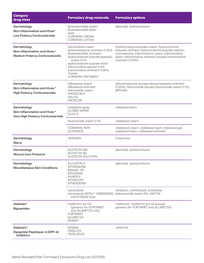| <b>Category</b><br>drug class                                                            | <b>Formulary drug removals</b>                                                                                                                                                                                                                                            | <b>Formulary options</b>                                                                                                                                                                                                           |
|------------------------------------------------------------------------------------------|---------------------------------------------------------------------------------------------------------------------------------------------------------------------------------------------------------------------------------------------------------------------------|------------------------------------------------------------------------------------------------------------------------------------------------------------------------------------------------------------------------------------|
| Dermatology<br>Skin Inflammation and Hives*<br><b>Low Potency Corticosteroids</b>        | flurandrenolide cream<br>flurandrenolide lotion<br><b>Nolix</b><br><b>CORDRAN CREAM</b><br><b>CORDRAN LOTION</b>                                                                                                                                                          | desonide, hydrocortisone                                                                                                                                                                                                           |
| Dermatology<br>Skin Inflammation and Hives *<br><b>Medium Potency Corticosteroids</b>    | clocortolone cream<br>desoximetasone ointment 0.05%<br>flurandrenolide ointment<br>hydrocortisone butyrate lipophilic<br>cream 0.1%<br>hydrocortisone butyrate lotion<br>triamcinolone aerosol 0.2%<br>triamcinolone ointment 0.05%<br><b>Trianex</b><br>CORDRAN OINTMENT | hydrocortisone butyrate cream, hydrocortisone<br>butyrate ointment, hydrocortisone butyrate solution,<br>mometasone, triamcinolone cream, triamcinolone<br>lotion, triamcinolone ointment (except triamcinolone<br>ointment 0.05%) |
| Dermatology<br>Skin Inflammation and Hives *<br><b>High Potency Corticosteroids</b>      | diflorasone cream<br>diflorasone ointment<br>halcinonide cream<br><b>APEXICON E</b><br><b>HALOG</b><br><b>PSORCON</b>                                                                                                                                                     | desoximetasone (except desoximetasone ointment<br>0.05%), fluocinonide (except fluocinonide cream 0.1%),<br><b>BRYHALL</b>                                                                                                         |
| Dermatology<br>Skin Inflammation and Hives *<br><b>Very High Potency Corticosteroids</b> | clobetasol spray<br><b>CLOBEX SPRAY</b><br>OLUX-E                                                                                                                                                                                                                         | clobetasol foam                                                                                                                                                                                                                    |
|                                                                                          | fluocinonide cream 0.1%                                                                                                                                                                                                                                                   | clobetasol cream                                                                                                                                                                                                                   |
|                                                                                          | <b>CORDRAN TAPE</b><br><b>ULTRAVATE</b>                                                                                                                                                                                                                                   | clobetasol cream, clobetasol foam, clobetasol gel,<br>clobetasol lotion, clobetasol ointment                                                                                                                                       |
| Dermatology<br>Warts                                                                     | <b>VEREGEN</b>                                                                                                                                                                                                                                                            | imiquimod                                                                                                                                                                                                                          |
| Dermatology<br><b>Wound Care Products</b>                                                | <b>ALEVICYN GEL</b><br><b>ALEVICYN SG</b><br>ALEVICYN SOLUTION                                                                                                                                                                                                            | desonide, hydrocortisone                                                                                                                                                                                                           |
| Dermatology<br><b>Miscellaneous Skin Conditions</b>                                      | <b>ALCORTIN A</b><br><b>ATOPADERM</b><br><b>BENSAL HP</b><br><b>EPICERAM</b><br><b>KAMDOY</b><br><b>NOVACORT</b><br>SYNERDERM                                                                                                                                             | desonide, hydrocortisone                                                                                                                                                                                                           |
|                                                                                          | luliconazole<br>oxiconazole (NDCs^ 0168035830, ketoconazole cream 2%, NAFTIN<br>51672135902 only)                                                                                                                                                                         | ciclopirox, clotrimazole, econazole,                                                                                                                                                                                               |
| Diabetes*<br><b>Biguanides</b>                                                           | metformin ext-rel<br>(generics for FORTAMET)<br>and GLUMETZA only)<br><b>FORTAMET</b><br><b>GLUMETZA</b><br><b>RIOMET</b>                                                                                                                                                 | metformin, metformin ext-rel (except<br>generics for FORTAMET and GLUMETZA)                                                                                                                                                        |
| Diabetes*<br>Dipeptidyl Peptidase-4 (DPP-4)<br><b>Inhibitors</b>                         | <b>NESINA</b><br>ONGLYZA<br>TRADJENTA                                                                                                                                                                                                                                     | JANUVIA                                                                                                                                                                                                                            |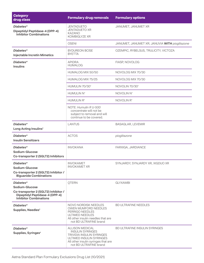| <b>Category</b><br>drug class                                                                                                          | <b>Formulary drug removals</b>                                                                                                                                              | <b>Formulary options</b>                       |  |
|----------------------------------------------------------------------------------------------------------------------------------------|-----------------------------------------------------------------------------------------------------------------------------------------------------------------------------|------------------------------------------------|--|
| Diabetes*<br>Dipeptidyl Peptidase-4 (DPP-4)<br><b>Inhibitor Combinations</b>                                                           | <b>JENTADUETO</b><br><b>JENTADUETO XR</b><br><b>KAZANO</b><br><b>KOMBIGLYZE XR</b>                                                                                          | JANUMET, JANUMET XR                            |  |
|                                                                                                                                        | <b>OSENI</b>                                                                                                                                                                | JANUMET, JANUMET XR; JANUVIA WITH pioglitazone |  |
| Diabetes*<br><b>Injectable Incretin Mimetics</b>                                                                                       | <b>BYDUREON BCISE</b><br><b>BYETTA</b>                                                                                                                                      | OZEMPIC, RYBELSUS, TRULICITY, VICTOZA          |  |
| Diabetes*<br><b>Insulins</b>                                                                                                           | <b>APIDRA</b><br><b>HUMALOG</b>                                                                                                                                             | FIASP, NOVOLOG                                 |  |
|                                                                                                                                        | HUMALOG MIX 50/50                                                                                                                                                           | NOVOLOG MIX 70/30                              |  |
|                                                                                                                                        | HUMALOG MIX 75/25                                                                                                                                                           | NOVOLOG MIX 70/30                              |  |
|                                                                                                                                        | HUMULIN 70/30 <sup>4</sup>                                                                                                                                                  | NOVOLIN 70/30 <sup>4</sup>                     |  |
|                                                                                                                                        | HUMULIN N <sup>4</sup>                                                                                                                                                      | NOVOLIN N <sup>4</sup>                         |  |
|                                                                                                                                        | HUMULIN R <sup>4</sup>                                                                                                                                                      | NOVOLIN R <sup>4</sup>                         |  |
|                                                                                                                                        | NOTE: Humulin R U-500<br>concentrate will not be<br>subject to removal and will<br>continue to be covered.                                                                  |                                                |  |
| Diabetes*<br>Long Acting Insulins <sup>5</sup>                                                                                         | <b>LANTUS</b>                                                                                                                                                               | <b>BASAGLAR, LEVEMIR</b>                       |  |
| Diabetes*<br><b>Insulin Sensitizers</b>                                                                                                | <b>ACTOS</b>                                                                                                                                                                | pioglitazone                                   |  |
| Diabetes*<br>Sodium-Glucose<br>Co-transporter 2 (SGLT2) Inhibitors                                                                     | <b>INVOKANA</b>                                                                                                                                                             | FARXIGA, JARDIANCE                             |  |
| Diabetes*<br>Sodium-Glucose<br>Co-transporter 2 (SGLT2) Inhibitor /<br><b>Biguanide Combinations</b>                                   | <b>INVOKAMET</b><br><b>INVOKAMET XR</b>                                                                                                                                     | SYNJARDY, SYNJARDY XR, XIGDUO XR               |  |
| Diabetes*<br>Sodium-Glucose<br>Co-transporter 2 (SGLT2) Inhibitor /<br>Dipeptidyl Peptidase-4 (DPP-4)<br><b>Inhibitor Combinations</b> | <b>QTERN</b>                                                                                                                                                                | <b>GLYXAMBI</b>                                |  |
| Diabetes*<br>Supplies, Needles <sup>6</sup>                                                                                            | NOVO NORDISK NEEDLES<br>OWEN MUMFORD NEEDLES<br>PERRIGO NEEDLES<br>ULTIMED NEEDLES<br>All other insulin needles that are<br>not BD ULTRAFINE brand                          | <b>BD ULTRAFINE NEEDLES</b>                    |  |
| Diabetes*<br>Supplies, Syringes <sup>®</sup>                                                                                           | ALLISON MEDICAL<br><b>INSULIN SYRINGES</b><br><b>TRIVIDIA INSULIN SYRINGES</b><br>ULTIMED INSULIN SYRINGES<br>All other insulin syringes that are<br>not BD ULTRAFINE brand | BD ULTRAFINE INSULIN SYRINGES                  |  |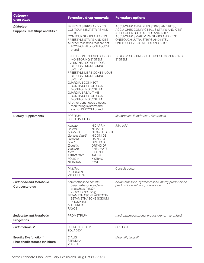| <b>Category</b><br>drug class                                | <b>Formulary drug removals</b>                                                                                                                                                                                                                                                                                                                                                                                                                                |                                                                                                                                                                                                | <b>Formulary options</b>                                                                                                                                                                                                                |
|--------------------------------------------------------------|---------------------------------------------------------------------------------------------------------------------------------------------------------------------------------------------------------------------------------------------------------------------------------------------------------------------------------------------------------------------------------------------------------------------------------------------------------------|------------------------------------------------------------------------------------------------------------------------------------------------------------------------------------------------|-----------------------------------------------------------------------------------------------------------------------------------------------------------------------------------------------------------------------------------------|
| Diabetes*<br>Supplies, Test Strips and Kits <sup>7,8</sup>   | BREEZE 2 STRIPS AND KITS<br>CONTOUR NEXT STRIPS AND<br><b>KITS</b><br>CONTOUR STRIPS AND KITS<br>FREESTYLE STRIPS AND KITS<br>All other test strips that are not<br>ACCU-CHEK or ONETOUCH<br>brand                                                                                                                                                                                                                                                            |                                                                                                                                                                                                | ACCU-CHEK AVIVA PLUS STRIPS AND KITS7,<br>ACCU-CHEK COMPACT PLUS STRIPS AND KITS7,<br>ACCU-CHEK GUIDE STRIPS AND KITS7,<br>ACCU-CHEK SMARTVIEW STRIPS AND KITS7,<br>ONETOUCH ULTRA STRIPS AND KITS7,<br>ONETOUCH VERIO STRIPS AND KITST |
|                                                              | ENLITE CONTINUOUS GLUCOSE<br><b>MONITORING SYSTEM</b><br>EVERSENSE CONTINUOUS<br><b>GLUCOSE MONITORING</b><br><b>SYSTEM</b><br>FREESTYLE LIBRE CONTINUOUS<br><b>GLUCOSE MONITORING</b><br><b>SYSTEM</b><br><b>GUARDIAN CONNECT</b><br>CONTINUOUS GLUCOSE<br><b>MONITORING SYSTEM</b><br><b>GUARDIAN REAL-TIME</b><br><b>CONTINUOUS GLUCOSE</b><br><b>MONITORING SYSTEM</b><br>All other continuous glucose<br>monitoring systems that<br>are not DEXCOM brand |                                                                                                                                                                                                | DEXCOM CONTINUOUS GLUCOSE MONITORING<br><b>SYSTEM</b>                                                                                                                                                                                   |
| <b>Dietary Supplements</b>                                   | <b>FOSTEUM</b><br><b>FOSTEUM PLUS</b>                                                                                                                                                                                                                                                                                                                                                                                                                         |                                                                                                                                                                                                | alendronate, ibandronate, risedronate                                                                                                                                                                                                   |
|                                                              | Activite<br>Dexifol<br><b>Folvite-D</b><br>Genicin Vita-S<br>HylaVite<br>Lorid<br>TronVite<br>Vitasure<br>Xvite<br>FERIVA 21/7<br><b>FOLIC-K</b><br><b>NICADAN</b>                                                                                                                                                                                                                                                                                            | <b>NICAPRIN</b><br><b>NICAZEL</b><br>NICAZEL FORTE<br><b>NICOMIDE</b><br><b>OMNIVEX</b><br>ORTHO D<br>ORTHO DF<br><b>RHEUMATE</b><br><b>RIBOZEL</b><br><b>TALIVA</b><br><b>XYZBAC</b><br>ZYVIT | folic acid                                                                                                                                                                                                                              |
|                                                              | MultiPro<br><b>PRODIGEN</b><br>VASCULERA                                                                                                                                                                                                                                                                                                                                                                                                                      |                                                                                                                                                                                                | Consult doctor                                                                                                                                                                                                                          |
| <b>Endocrine and Metabolic</b><br><b>Corticosteroids</b>     | betamethasone acetate-<br>betamethasone sodium<br>phosphate (NDC^<br>71283062002 only)<br>BETAMETHASONE ACETATE-<br>BETAMETHASONE SODIUM<br><b>PHOSPHATE</b><br><b>MILLIPRED</b><br><b>RAYOS</b>                                                                                                                                                                                                                                                              |                                                                                                                                                                                                | dexamethasone, hydrocortisone, methylprednisolone,<br>prednisolone solution, prednisone                                                                                                                                                 |
| <b>Endocrine and Metabolic</b><br><b>Progestins</b>          | <b>PROMETRIUM</b>                                                                                                                                                                                                                                                                                                                                                                                                                                             |                                                                                                                                                                                                | medroxyprogesterone; progesterone, micronized                                                                                                                                                                                           |
| Endometriosis*                                               | LUPRON DEPOT <sup>®</sup><br>ZOLADEX <sup>1</sup>                                                                                                                                                                                                                                                                                                                                                                                                             |                                                                                                                                                                                                | <b>ORILISSA</b>                                                                                                                                                                                                                         |
| <b>Erectile Dysfunction*</b><br>Phosphodiesterase Inhibitors | <b>CIALIS</b><br><b>STENDRA</b><br><b>VIAGRA</b>                                                                                                                                                                                                                                                                                                                                                                                                              |                                                                                                                                                                                                | sildenafil, tadalafil                                                                                                                                                                                                                   |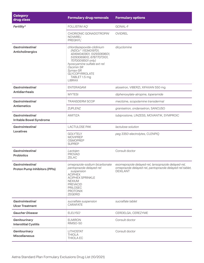| <b>Category</b><br>drug class                                   | <b>Formulary drug removals</b>                                                                                                                                                                                                                       | <b>Formulary options</b>                                                                                                           |
|-----------------------------------------------------------------|------------------------------------------------------------------------------------------------------------------------------------------------------------------------------------------------------------------------------------------------------|------------------------------------------------------------------------------------------------------------------------------------|
| Fertility*                                                      | FOLLISTIM AQ <sup>1</sup>                                                                                                                                                                                                                            | GONAL-F                                                                                                                            |
|                                                                 | CHORIONIC GONADOTROPIN'<br>NOVAREL <sup>1</sup><br>PREGNYL <sup>1</sup>                                                                                                                                                                              | <b>OVIDREL</b>                                                                                                                     |
| <b>Gastrointestinal</b><br><b>Anticholinergics</b>              | chlordiazepoxide-clidinium<br>(NDCs^ 11534019701,<br>42494040901, 51293069601,<br>51293069610, 67877073101,<br>70700018501 only)<br>hyoscyamine sulfate ext-rel<br>Oscimin SR<br>Symax-SR<br><b>GLYCOPYRROLATE</b><br>TABLET 1.5 mg<br><b>LIBRAX</b> | dicyclomine                                                                                                                        |
| Gastrointestinal                                                | ENTERAGAM                                                                                                                                                                                                                                            | alosetron, VIBERZI, XIFAXAN 550 mg                                                                                                 |
| <b>Antidiarrheals</b>                                           | <b>MYTESI</b>                                                                                                                                                                                                                                        | diphenoxylate-atropine, loperamide                                                                                                 |
| Gastrointestinal                                                | <b>TRANSDERM SCOP</b>                                                                                                                                                                                                                                | meclizine, scopolamine transdermal                                                                                                 |
| <b>Antiemetics</b>                                              | <b>ZUPLENZ</b>                                                                                                                                                                                                                                       | granisetron, ondansetron, SANCUSO                                                                                                  |
| Gastrointestinal<br><b>Irritable Bowel Syndrome</b>             | <b>AMITIZA</b>                                                                                                                                                                                                                                       | lubiprostone, LINZESS, MOVANTIK, SYMPROIC                                                                                          |
| Gastrointestinal<br>Laxatives                                   | <b>LACTULOSE PAK</b>                                                                                                                                                                                                                                 | lactulose solution                                                                                                                 |
|                                                                 | <b>GOLYTELY</b><br><b>MOVIPREP</b><br><b>OSMOPREP</b><br><b>SUPREP</b>                                                                                                                                                                               | peg 3350-electrolytes, CLENPIQ                                                                                                     |
| <b>Gastrointestinal</b><br><b>Probiotics</b>                    | Lactojen<br><b>PROVAD</b><br><b>ZELAC</b>                                                                                                                                                                                                            | Consult doctor                                                                                                                     |
| <b>Gastrointestinal</b><br><b>Proton Pump Inhibitors (PPIs)</b> | omeprazole-sodium bicarbonate<br>pantoprazole delayed-rel<br>suspension<br><b>ACIPHEX</b><br><b>ACIPHEX SPRINKLE</b><br><b>NEXIUM</b><br><b>PREVACID</b><br><b>PRILOSEC</b><br><b>PROTONIX</b><br>ZEGERID                                            | esomeprazole delayed-rel, lansoprazole delayed-rel,<br>omeprazole delayed-rel, pantoprazole delayed-rel tablet,<br><b>DEXILANT</b> |
| <b>Gastrointestinal</b><br><b>Ulcer Treatment</b>               | sucralfate suspension<br>CARAFATE                                                                                                                                                                                                                    | sucralfate tablet                                                                                                                  |
| <b>Gaucher Disease</b>                                          | ELELYSO <sup>1</sup>                                                                                                                                                                                                                                 | CERDELGA, CEREZYME                                                                                                                 |
| Genitourinary<br><b>Interstitial Cystitis</b>                   | <b>ELMIRON</b><br>RIMSO-50                                                                                                                                                                                                                           | Consult doctor                                                                                                                     |
| Genitourinary<br><b>Miscellaneous</b>                           | <b>LITHOSTAT</b><br><b>THIOLA</b><br>THIOLA EC                                                                                                                                                                                                       | Consult doctor                                                                                                                     |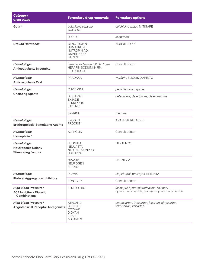| <b>Category</b><br>drug class                                                  | <b>Formulary drug removals</b>                                                                                            | <b>Formulary options</b>                                                                          |
|--------------------------------------------------------------------------------|---------------------------------------------------------------------------------------------------------------------------|---------------------------------------------------------------------------------------------------|
| Gout*                                                                          | colchicine capsule<br><b>COLCRYS</b>                                                                                      | colchicine tablet, MITIGARE                                                                       |
|                                                                                | <b>ULORIC</b>                                                                                                             | allopurinol                                                                                       |
| <b>Growth Hormones</b>                                                         | <b>GENOTROPIN'</b><br>HUMATROPE <sup>1</sup><br>NUTROPIN AQ <sup>1</sup><br>OMNITROPE <sup>1</sup><br>SAIZEN <sup>1</sup> | <b>NORDITROPIN</b>                                                                                |
| Hematologic<br>Anticoagulants Injectable                                       | heparin sodium in 5% dextrose<br>HEPARIN SODIUM IN 5%<br><b>DEXTROSE</b>                                                  | Consult doctor                                                                                    |
| Hematologic<br><b>Anticoagulants Oral</b>                                      | PRADAXA                                                                                                                   | warfarin, ELIQUIS, XARELTO                                                                        |
| Hematologic                                                                    | <b>CUPRIMINE</b>                                                                                                          | penicillamine capsule                                                                             |
| <b>Chelating Agents</b>                                                        | DESFERAL <sup>®</sup><br>EXJADE <sup>1</sup><br><b>FERRIPROX</b><br><b>JADENU</b> <sup>1</sup>                            | deferasirox, deferiprone, deferoxamine                                                            |
|                                                                                | <b>SYPRINE</b>                                                                                                            | trientine                                                                                         |
| Hematologic<br><b>Erythropoiesis-Stimulating Agents</b>                        | EPOGEN <sup>1</sup><br>PROCRIT <sup>1</sup>                                                                               | ARANESP, RETACRIT                                                                                 |
| Hematologic<br>Hemophilia B                                                    | ALPROLIX <sup>1</sup>                                                                                                     | Consult doctor                                                                                    |
| Hematologic<br><b>Neutropenia Colony</b><br><b>Stimulating Factors</b>         | <b>FULPHILA<sup>1</sup></b><br>NEULASTA <sup>1</sup><br>NEULASTA ONPRO'<br><b>UDENYCA<sup>1</sup></b>                     | ZIEXTENZO                                                                                         |
|                                                                                | <b>GRANIX<sup>1</sup></b><br>NEUPOGEN <sup>®</sup><br>ZARXIO <sup>1</sup>                                                 | <b>NIVESTYM</b>                                                                                   |
| Hematologic<br><b>Platelet Aggregation Inhibitors</b>                          | <b>PLAVIX</b>                                                                                                             | clopidogrel, prasugrel, BRILINTA                                                                  |
|                                                                                | <b>ZONTIVITY</b>                                                                                                          | Consult doctor                                                                                    |
| <b>High Blood Pressure*</b><br><b>ACE Inhibitor / Diuretic</b><br>Combinations | ZESTORETIC                                                                                                                | fosinopril-hydrochlorothiazide, lisinopril-<br>hydrochlorothiazide, quinapril-hydrochlorothiazide |
| <b>High Blood Pressure*</b><br><b>Angiotensin II Receptor Antagonists</b>      | <b>ATACAND</b><br><b>BENICAR</b><br>COZAAR<br><b>DIOVAN</b><br><b>EDARBI</b><br><b>MICARDIS</b>                           | candesartan, irbesartan, losartan, olmesartan,<br>telmisartan, valsartan                          |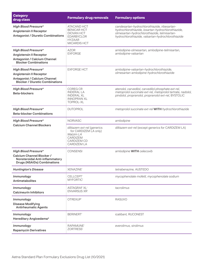| <b>Category</b><br>drug class                                                                                                           | <b>Formulary drug removals</b>                                                                                      | <b>Formulary options</b>                                                                                                                                                                                 |
|-----------------------------------------------------------------------------------------------------------------------------------------|---------------------------------------------------------------------------------------------------------------------|----------------------------------------------------------------------------------------------------------------------------------------------------------------------------------------------------------|
| <b>High Blood Pressure*</b><br><b>Angiotensin II Receptor</b><br><b>Antagonist / Diuretic Combinations</b>                              | <b>ATACAND HCT</b><br><b>BENICAR HCT</b><br><b>DIOVAN HCT</b><br><b>EDARBYCLOR</b><br><b>HYZAAR</b><br>MICARDIS HCT | candesartan-hydrochlorothiazide, irbesartan-<br>hydrochlorothiazide, losartan-hydrochlorothiazide,<br>olmesartan-hydrochlorothiazide, telmisartan-<br>hydrochlorothiazide, valsartan-hydrochlorothiazide |
| <b>High Blood Pressure*</b><br><b>Angiotensin II Receptor</b><br><b>Antagonist / Calcium Channel</b><br><b>Blocker Combinations</b>     | <b>AZOR</b><br><b>EXFORGE</b>                                                                                       | amlodipine-olmesartan, amlodipine-telmisartan,<br>amlodipine-valsartan                                                                                                                                   |
| <b>High Blood Pressure*</b><br><b>Angiotensin II Receptor</b><br>Antagonist / Calcium Channel<br><b>Blocker / Diuretic Combinations</b> | <b>EXFORGE HCT</b>                                                                                                  | amlodipine-valsartan-hydrochlorothiazide,<br>olmesartan-amlodipine-hydrochlorothiazide                                                                                                                   |
| <b>High Blood Pressure*</b><br><b>Beta-blockers</b>                                                                                     | <b>COREG CR</b><br><b>INDERAL LA</b><br><b>INDERAL XL</b><br><b>INNOPRAN XL</b><br>TOPROL-XL                        | atenolol, carvedilol, carvedilol phosphate ext-rel,<br>metoprolol succinate ext-rel, metoprolol tartrate, nadolol,<br>pindolol, propranolol, propranolol ext-rel, BYSTOLIC                               |
| <b>High Blood Pressure*</b><br><b>Beta-blocker Combinations</b>                                                                         | <b>DUTOPROL</b>                                                                                                     | metoprolol succinate ext-rel WITH hydrochlorothiazide                                                                                                                                                    |
| <b>High Blood Pressure*</b><br><b>Calcium Channel Blockers</b>                                                                          | <b>NORVASC</b>                                                                                                      | amlodipine                                                                                                                                                                                               |
|                                                                                                                                         | diltiazem ext-rel (generics<br>for CARDIZEM LA only)<br>Matzim LA<br>CARDIZEM<br>CARDIZEM CD<br><b>CARDIZEM LA</b>  | diltiazem ext-rel (except generics for CARDIZEM LA)                                                                                                                                                      |
| <b>High Blood Pressure*</b><br>Calcium Channel Blocker /<br>Nonsteroidal Anti-inflammatory<br><b>Drugs (NSAIDs) Combinations</b>        | <b>CONSENSI</b>                                                                                                     | amlodipine WITH celecoxib                                                                                                                                                                                |
| <b>Huntington's Disease</b>                                                                                                             | <b>XENAZINE<sup>®</sup></b>                                                                                         | tetrabenazine, AUSTEDO                                                                                                                                                                                   |
| Immunology<br><b>Antimetabolites</b>                                                                                                    | CELLCEPT <sup>1</sup><br><b>MYFORTIC<sup>1</sup></b>                                                                | mycophenolate mofetil, mycophenolate sodium                                                                                                                                                              |
| Immunology<br><b>Calcineurin Inhibitors</b>                                                                                             | <b>ASTAGRAF XL1</b><br><b>ENVARSUS XR1</b>                                                                          | tacrolimus                                                                                                                                                                                               |
| Immunology<br><b>Disease Modifying</b><br><b>Antirheumatic Agents</b>                                                                   | OTREXUP <sup>1</sup>                                                                                                | <b>RASUVO</b>                                                                                                                                                                                            |
| Immunology<br>Hereditary Angioedema*                                                                                                    | <b>BERINERT</b>                                                                                                     | icatibant, RUCONEST                                                                                                                                                                                      |
| Immunology<br><b>Rapamycin Derivatives</b>                                                                                              | RAPAMUNE <sup>1</sup><br>ZORTRESS <sup>1</sup>                                                                      | everolimus, sirolimus                                                                                                                                                                                    |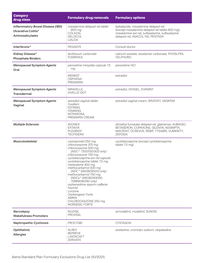| <b>Category</b><br>drug class                                                      | <b>Formulary drug removals</b>                                                                                                                                                                                                                                                                                                                                                                                                                                       | <b>Formulary options</b>                                                                                                                                                     |
|------------------------------------------------------------------------------------|----------------------------------------------------------------------------------------------------------------------------------------------------------------------------------------------------------------------------------------------------------------------------------------------------------------------------------------------------------------------------------------------------------------------------------------------------------------------|------------------------------------------------------------------------------------------------------------------------------------------------------------------------------|
| <b>Inflammatory Bowel Disease (IBD)</b><br>Ulcerative Colitis*<br>Aminosalicylates | mesalamine delayed-rel tablet<br>800 mg<br>COLAZAL<br><b>DELZICOL</b><br><b>LIALDA</b>                                                                                                                                                                                                                                                                                                                                                                               | balsalazide, mesalamine delayed-rel<br>(except mesalamine delayed-rel tablet 800 mg),<br>mesalamine ext-rel, sulfasalazine, sulfasalazine<br>delayed-rel, ASACOL HD, PENTASA |
| Interferons*                                                                       | PEGASYS <sup>1</sup>                                                                                                                                                                                                                                                                                                                                                                                                                                                 | Consult doctor                                                                                                                                                               |
| <b>Kidney Disease*</b><br><b>Phosphate Binders</b>                                 | lanthanum carbonate<br><b>FOSRENOL</b>                                                                                                                                                                                                                                                                                                                                                                                                                               | calcium acetate, sevelamer carbonate, PHOSLYRA,<br><b>VELPHORO</b>                                                                                                           |
| <b>Menopausal Symptom Agents</b><br>Oral                                           | paroxetine mesylate capsule 7.5<br>mg                                                                                                                                                                                                                                                                                                                                                                                                                                | paroxetine HCl                                                                                                                                                               |
|                                                                                    | <b>MENEST</b><br><b>OSPHENA</b><br><b>PREMARIN</b>                                                                                                                                                                                                                                                                                                                                                                                                                   | estradiol                                                                                                                                                                    |
| <b>Menopausal Symptom Agents</b><br><b>Transdermal</b>                             | <b>MINIVELLE</b><br><b>VIVELLE-DOT</b>                                                                                                                                                                                                                                                                                                                                                                                                                               | estradiol, DIVIGEL, EVAMIST                                                                                                                                                  |
| <b>Menopausal Symptom Agents</b><br>Vaginal                                        | estradiol vaginal tablet<br>Yuvafem<br><b>ESTRING</b><br><b>FEMRING</b><br><b>INTRAROSA</b><br>PREMARIN CREAM                                                                                                                                                                                                                                                                                                                                                        | estradiol vaginal cream, IMVEXXY, VAGIFEM                                                                                                                                    |
| <b>Multiple Sclerosis</b>                                                          | <b>AVONEX<sup>1</sup></b><br>EXTAVIA <sup>1</sup><br>PLEGRIDY <sup>1</sup><br><b>TECFIDERA<sup>®</sup></b>                                                                                                                                                                                                                                                                                                                                                           | dimethyl fumarate delayed-rel, glatiramer, AUBAGIO,<br>BETASERON, COPAXONE, GILENYA, KESIMPTA,<br>MAYZENT, OCREVUS, REBIF, TYSABRI, VUMERITY,<br><b>ZEPOSIA</b>              |
| <b>Musculoskeletal</b>                                                             | carisoprodol 250 mg<br>chlorzoxazone 375 mg<br>chlorzoxazone 500 mg<br>(NDC^ 73007001303 only)<br>chlorzoxazone 750 mg<br>cyclobenzaprine ext-rel capsule<br>cyclobenzaprine tablet 7.5 mg<br>metaxalone 400 mg<br>methocarbamol 500 mg<br>(NDC^ 69036091010 only)<br>methocarbamol 750 mg<br>(NDCs^ 69036093090,<br>70868090190 only)<br>orphenadrine-aspirin-caffeine<br>Fexmid<br>Lorzone<br>Orphengesic Forte<br>AMRIX<br>CHLORZOXAZONE 250 mg<br>NORGESIC FORTE | cyclobenzaprine (except cyclobenzaprine<br>tablet 7.5 mg)                                                                                                                    |
| Narcolepsy<br><b>Wakefulness Promoters</b>                                         | <b>NUVIGIL</b><br><b>PROVIGIL</b>                                                                                                                                                                                                                                                                                                                                                                                                                                    | armodafinil, modafinil, SUNOSI                                                                                                                                               |
| <b>Nephropathic Cystinosis</b>                                                     | PROCYSBI <sup>1</sup>                                                                                                                                                                                                                                                                                                                                                                                                                                                | <b>CYSTAGON</b>                                                                                                                                                              |
| Ophthalmic<br><b>Allergies</b>                                                     | <b>ALREX</b><br><b>BEPREVE</b><br>LASTACAFT<br><b>ZERVIATE</b>                                                                                                                                                                                                                                                                                                                                                                                                       | azelastine, cromolyn sodium, olopatadine                                                                                                                                     |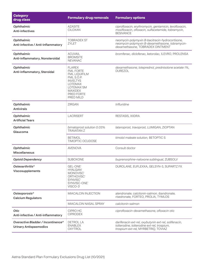| <b>Category</b><br>drug class                                       | <b>Formulary drug removals</b>                                                                                                                                                 | <b>Formulary options</b>                                                                                                                    |
|---------------------------------------------------------------------|--------------------------------------------------------------------------------------------------------------------------------------------------------------------------------|---------------------------------------------------------------------------------------------------------------------------------------------|
| Ophthalmic<br><b>Anti-infectives</b>                                | <b>AZASITE</b><br><b>CILOXAN</b>                                                                                                                                               | ciprofloxacin, erythromycin, gentamicin, levofloxacin,<br>moxifloxacin, ofloxacin, sulfacetamide, tobramycin,<br><b>BESIVANCE</b>           |
| Ophthalmic<br>Anti-infective / Anti-inflammatory                    | <b>TOBRADEX ST</b><br>ZYLET                                                                                                                                                    | neomycin-polymyxin B-bacitracin-hydrocortisone,<br>neomycin-polymyxin B-dexamethasone, tobramycin-<br>dexamethasone, TOBRADEX OINTMENT      |
| Ophthalmic<br>Anti-inflammatory, Nonsteroidal                       | <b>ACUVAIL</b><br><b>BROMSITE</b><br><b>NEVANAC</b>                                                                                                                            | bromfenac, diclofenac, ketorolac, ILEVRO, PROLENSA                                                                                          |
| <b>Ophthalmic</b><br>Anti-inflammatory, Steroidal                   | <b>FLAREX</b><br><b>FML FORTE</b><br><b>FML LIQUIFILM</b><br>FML S.O.P.<br><b>INVELTYS</b><br><b>LOTEMAX</b><br><b>LOTEMAX SM</b><br><b>MAXIDEX</b><br>PRED FORTE<br>PRED MILD | dexamethasone, loteprednol, prednisolone acetate 1%,<br><b>DUREZOL</b>                                                                      |
| Ophthalmic<br><b>Antivirals</b>                                     | <b>ZIRGAN</b>                                                                                                                                                                  | trifluridine                                                                                                                                |
| Ophthalmic<br><b>Artificial Tears</b>                               | <b>LACRISERT</b>                                                                                                                                                               | RESTASIS, XIIDRA                                                                                                                            |
| Ophthalmic<br>Glaucoma                                              | bimatoprost solution 0.03%<br><b>TRAVATAN Z</b>                                                                                                                                | latanoprost, travoprost, LUMIGAN, ZIOPTAN                                                                                                   |
|                                                                     | <b>BETIMOL</b><br>TIMOPTIC OCUDOSE                                                                                                                                             | timolol maleate solution, BETOPTIC S                                                                                                        |
| Ophthalmic<br><b>Miscellaneous</b>                                  | <b>AVENOVA</b>                                                                                                                                                                 | Consult doctor                                                                                                                              |
| <b>Opioid Dependency</b>                                            | <b>SUBOXONE</b>                                                                                                                                                                | buprenorphine-naloxone sublingual, ZUBSOLV                                                                                                  |
| Osteoarthritis*<br><b>Viscosupplements</b>                          | GEL-ONE <sup>1</sup><br><b>HYALGAN</b><br>MONOVISC <sup>1</sup><br>ORTHOVISC <sup>1</sup><br>SYNVISC <sup>1</sup><br>SYNVISC-ONE <sup>1</sup><br>VISCO-31                      | DUROLANE, EUFLEXXA, GELSYN-3, SUPARTZ FX                                                                                                    |
| Osteoporosis*<br><b>Calcium Regulators</b>                          | MIACALCIN INJECTION                                                                                                                                                            | alendronate, calcitonin-salmon, ibandronate,<br>risedronate, FORTEO, PROLIA, TYMLOS                                                         |
|                                                                     | <b>MIACALCIN NASAL SPRAY</b>                                                                                                                                                   | calcitonin-salmon                                                                                                                           |
| Otic<br>Anti-infective / Anti-inflammatory                          | CIPRO HC<br><b>CIPRODEX</b>                                                                                                                                                    | ciprofloxacin-dexamethasone, ofloxacin otic                                                                                                 |
| Overactive Bladder / Incontinence*<br><b>Urinary Antispasmodics</b> | <b>DETROL LA</b><br><b>ENABLEX</b><br>OXYTROL                                                                                                                                  | darifenacin ext-rel, oxybutynin ext-rel, solifenacin,<br>tolterodine, tolterodine ext-rel, trospium,<br>trospium ext-rel, MYRBETRIQ, TOVIAZ |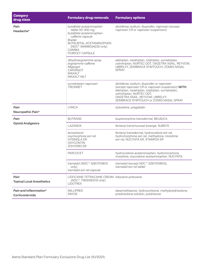| <b>Category</b><br>drug class             | <b>Formulary drug removals</b>                                                                                                                                                                            | <b>Formulary options</b>                                                                                                                                                                                                                                     |
|-------------------------------------------|-----------------------------------------------------------------------------------------------------------------------------------------------------------------------------------------------------------|--------------------------------------------------------------------------------------------------------------------------------------------------------------------------------------------------------------------------------------------------------------|
| Pain<br>Headache*                         | butalbital-acetaminophen<br>tablet 50-300 mg<br>butalbital-acetaminophen-<br>caffeine capsule<br>Bupap<br>BUTALBITAL-ACETAMINOPHEN<br>(NDC^ 69499034230 only)<br><b>CAMBIA</b><br><b>FIORICET CAPSULE</b> | diclofenac sodium, ibuprofen, naproxen (except<br>naproxen CR or naproxen suspension)                                                                                                                                                                        |
|                                           | dihydroergotamine spray<br>ergotamine-caffeine<br>Migergot<br>CAFERGOT<br><b>MAXALT</b><br>MAXALT-MLT                                                                                                     | eletriptan, naratriptan, rizatriptan, sumatriptan,<br>zolmitriptan, NURTEC ODT, ONZETRA XSAIL, REYVOW,<br>UBRELVY, ZEMBRACE SYMTOUCH, ZOMIG NASAL<br><b>SPRAY</b>                                                                                            |
|                                           | sumatriptan-naproxen<br><b>TREXIMET</b>                                                                                                                                                                   | diclofenac sodium, ibuprofen or naproxen<br>(except naproxen CR or naproxen suspension) WITH<br>eletriptan, naratriptan, rizatriptan, sumatriptan,<br>zolmitriptan, NURTEC ODT,<br>ONZETRA XSAIL, REYVOW, UBRELVY,<br>ZEMBRACE SYMTOUCH or ZOMIG NASAL SPRAY |
| Pain<br>Neuropathic Pain*                 | <b>LYRICA</b>                                                                                                                                                                                             | duloxetine, pregabalin                                                                                                                                                                                                                                       |
| Pain<br><b>Opioid Analgesics</b>          | <b>BUTRANS</b>                                                                                                                                                                                            | buprenorphine transdermal, BELBUCA                                                                                                                                                                                                                           |
|                                           | LAZANDA                                                                                                                                                                                                   | fentanyl transmucosal lozenge, SUBSYS                                                                                                                                                                                                                        |
|                                           | levorphanol<br>oxymorphone ext-rel<br><b>HYSINGLA ER</b><br><b>OXYCONTIN</b><br>ZOHYDRO ER                                                                                                                | fentanyl transdermal, hydrocodone ext-rel,<br>hydromorphone ext-rel, methadone, morphine<br>ext-rel, NUCYNTA ER, XTAMPZA ER                                                                                                                                  |
|                                           | <b>PERCOCET</b>                                                                                                                                                                                           | hydrocodone-acetaminophen, hydromorphone,<br>morphine, oxycodone-acetaminophen, NUCYNTA                                                                                                                                                                      |
|                                           | tramadol (NDC^ 52817019610<br>only)<br>tramadol ext-rel capsule                                                                                                                                           | tramadol (except NDC^ 52817019610),<br>tramadol ext-rel tablet                                                                                                                                                                                               |
| Pain<br><b>Topical Local Anesthetics</b>  | LIDOCAINE-TETRACAINE CREAM lidocaine-prilocaine<br>(NDC^ 71800063115 only)<br><b>LIDOTREX</b>                                                                                                             |                                                                                                                                                                                                                                                              |
| Pain and Inflammation*<br>Corticosteroids | <b>MILLIPRED</b><br><b>RAYOS</b>                                                                                                                                                                          | dexamethasone, hydrocortisone, methylprednisolone,<br>prednisolone solution, prednisone                                                                                                                                                                      |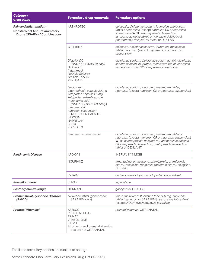| <b>Category</b><br>drug class                                                             | <b>Formulary drug removals</b>                                                                                                                                                                                                                                               | <b>Formulary options</b>                                                                                                                                                                                                                                   |
|-------------------------------------------------------------------------------------------|------------------------------------------------------------------------------------------------------------------------------------------------------------------------------------------------------------------------------------------------------------------------------|------------------------------------------------------------------------------------------------------------------------------------------------------------------------------------------------------------------------------------------------------------|
| Pain and Inflammation*<br>Nonsteroidal Anti-inflammatory<br>Drugs (NSAIDs) / Combinations | <b>ARTHROTEC</b>                                                                                                                                                                                                                                                             | celecoxib; diclofenac sodium, ibuprofen, meloxicam<br>tablet or naproxen (except naproxen CR or naproxen<br>suspension) WITH esomeprazole delayed-rel,<br>lansoprazole delayed-rel, omeprazole delayed-rel,<br>pantoprazole delayed-rel tablet or DEXILANT |
|                                                                                           | <b>CELEBREX</b>                                                                                                                                                                                                                                                              | celecoxib, diclofenac sodium, ibuprofen, meloxicam<br>tablet, naproxen (except naproxen CR or naproxen<br>suspension)                                                                                                                                      |
|                                                                                           | <b>Diclofex DC</b><br>(NDC^ 51021037201 only)<br>Diclosaicin<br>Inflammacin<br><b>NuDiclo SoluPak</b><br>NuDiclo TabPak<br><b>PENNSAID</b>                                                                                                                                   | diclofenac sodium, diclofenac sodium gel 1%, diclofenac<br>sodium solution, ibuprofen, meloxicam tablet, naproxen<br>(except naproxen CR or naproxen suspension)                                                                                           |
|                                                                                           | fenoprofen<br>indomethacin capsule 20 mg<br>ketoprofen capsule 25 mg<br>ketoprofen ext-rel capsule<br>mefenamic acid<br>(NDC^ 69336012830 only)<br>naproxen CR<br>naproxen suspension<br>FENOPROFEN CAPSULE<br><b>INDOCIN</b><br><b>NAPRELAN</b><br><b>SPRIX</b><br>ZORVOLEX | diclofenac sodium, ibuprofen, meloxicam tablet,<br>naproxen (except naproxen CR or naproxen suspension)                                                                                                                                                    |
|                                                                                           | naproxen-esomeprazole                                                                                                                                                                                                                                                        | diclofenac sodium, ibuprofen, meloxicam tablet or<br>naproxen (except naproxen CR or naproxen suspension)<br>WITH esomeprazole delayed-rel, lansoprazole delayed-<br>rel, omeprazole delayed-rel, pantoprazole delayed-rel<br>tablet or DEXILANT           |
| <b>Parkinson's Disease</b>                                                                | APOKYN <sup>1</sup>                                                                                                                                                                                                                                                          | INBRIJA, KYNMOBI                                                                                                                                                                                                                                           |
|                                                                                           | NOURIANZ                                                                                                                                                                                                                                                                     | amantadine, entacapone, pramipexole, pramipexole<br>ext-rel, rasagiline, ropinirole, ropinirole ext-rel, selegiline,<br><b>NEUPRO</b>                                                                                                                      |
|                                                                                           | <b>RYTARY</b>                                                                                                                                                                                                                                                                | carbidopa-levodopa, carbidopa-levodopa ext-rel                                                                                                                                                                                                             |
| Phenylketonuria                                                                           | KUVAN <sup>1</sup>                                                                                                                                                                                                                                                           | sapropterin                                                                                                                                                                                                                                                |
| <b>Postherpetic Neuralgia</b>                                                             | <b>HORIZANT</b>                                                                                                                                                                                                                                                              | gabapentin, GRALISE                                                                                                                                                                                                                                        |
| <b>Premenstrual Dysphoric Disorder</b><br>(PMDD)                                          | fluoxetine tablet (generics for<br>SARAFEM only)                                                                                                                                                                                                                             | fluoxetine (except fluoxetine tablet 60 mg, fluoxetine<br>tablet [generics for SARAFEM]), paroxetine HCl ext-rel<br>(except NDC^ 60505367503), sertraline                                                                                                  |
| <b>Prenatal Vitamins<sup>®</sup></b>                                                      | <b>AZESCO</b><br>PRENATAL PLUS<br><b>TRINAZ</b><br><b>VITAFOL-ONE</b><br>ZALVIT<br>All other brand prenatal vitamins<br>that are not CITRANATAL                                                                                                                              | prenatal vitamins, CITRANATAL                                                                                                                                                                                                                              |

The listed formulary options are subject to change.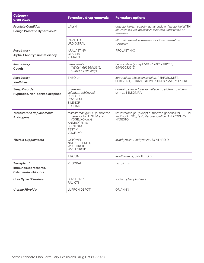| <b>Category</b><br>drug class                                       | <b>Formulary drug removals</b>                                                                                                                   | <b>Formulary options</b>                                                                                                       |
|---------------------------------------------------------------------|--------------------------------------------------------------------------------------------------------------------------------------------------|--------------------------------------------------------------------------------------------------------------------------------|
| <b>Prostate Condition</b><br>Benign Prostatic Hyperplasia*          | <b>JALYN</b>                                                                                                                                     | dutasteride-tamsulosin; dutasteride or finasteride WITH<br>alfuzosin ext-rel, doxazosin, silodosin, tamsulosin or<br>terazosin |
|                                                                     | <b>RAPAFLO</b><br><b>UROXATRAL</b>                                                                                                               | alfuzosin ext-rel, doxazosin, silodosin, tamsulosin,<br>terazosin                                                              |
| Respiratory<br><b>Alpha-1 Antitrypsin Deficiency</b>                | ARALAST NP <sup>1</sup><br><b>GLASSIA</b> <sup>1</sup><br>ZEMAIRA <sup>1</sup>                                                                   | PROLASTIN-C                                                                                                                    |
| Respiratory<br>Cough                                                | benzonatate<br>(NDCs^ 69336012615,<br>69499032915 only)                                                                                          | benzonatate (except NDCs^ 69336012615,<br>69499032915)                                                                         |
| Respiratory<br><b>Xanthines</b>                                     | THEO-24                                                                                                                                          | ipratropium inhalation solution, PERFOROMIST,<br>SEREVENT, SPIRIVA, STRIVERDI RESPIMAT, YUPELRI                                |
| <b>Sleep Disorder</b><br>Hypnotics, Non-benzodiazepines             | quazepam<br>zolpidem sublingual<br><b>LUNESTA</b><br><b>ROZEREM</b><br><b>SILENOR</b><br><b>ZOLPIMIST</b>                                        | doxepin, eszopiclone, ramelteon, zolpidem, zolpidem<br>ext-rel, BELSOMRA                                                       |
| Testosterone Replacement*<br>Androgens                              | testosterone gel 1% (authorized<br>generics for TESTIM and<br>VOGELXO only)<br><b>ANDROGEL 1%</b><br><b>FORTESTA</b><br><b>TESTIM</b><br>VOGELXO | testosterone gel (except authorized generics for TESTIM<br>and VOGELXO), testosterone solution, ANDRODERM,<br><b>NATESTO</b>   |
| <b>Thyroid Supplements</b>                                          | <b>CYTOMEL</b><br>NATURE-THROID<br><b>WESTHROID</b><br><b>WP THYROID</b>                                                                         | levothyroxine, liothyronine, SYNTHROID                                                                                         |
|                                                                     | <b>TIROSINT</b>                                                                                                                                  | levothyroxine, SYNTHROID                                                                                                       |
| Transplant*<br>Immunosuppressants,<br><b>Calcineurin Inhibitors</b> | PROGRAF <sup>1</sup>                                                                                                                             | tacrolimus                                                                                                                     |
| <b>Urea Cycle Disorders</b>                                         | <b>BUPHENYL'</b><br>RAVICTI <sup>1</sup>                                                                                                         | sodium phenylbutyrate                                                                                                          |
| Uterine Fibroids*                                                   | LUPRON DEPOT <sup>®</sup>                                                                                                                        | ORIAHNN                                                                                                                        |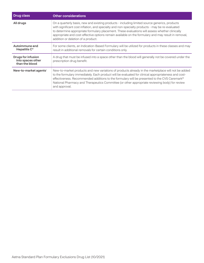| <b>Drug class</b>                                                | <b>Other considerations</b>                                                                                                                                                                                                                                                                                                                                                                                                                     |
|------------------------------------------------------------------|-------------------------------------------------------------------------------------------------------------------------------------------------------------------------------------------------------------------------------------------------------------------------------------------------------------------------------------------------------------------------------------------------------------------------------------------------|
| All drugs                                                        | On a quarterly basis, new and existing products - including limited source generics, products<br>with significant cost inflation, and specialty and non-specialty products - may be re-evaluated<br>to determine appropriate formulary placement. These evaluations will assess whether clinically<br>appropriate and cost-effective options remain available on the formulary and may result in removal,<br>addition or deletion of a product. |
| Autoimmune and<br>Hepatitis C*                                   | For some clients, an Indication-Based Formulary will be utilized for products in these classes and may<br>result in additional removals for certain conditions only.                                                                                                                                                                                                                                                                            |
| <b>Drugs for infusion</b><br>into spaces other<br>than the blood | A drug that must be infused into a space other than the blood will generally not be covered under the<br>prescription drug benefit.                                                                                                                                                                                                                                                                                                             |
| New-to-market agents'                                            | New-to-market products and new variations of products already in the marketplace will not be added<br>to the formulary immediately. Each product will be evaluated for clinical appropriateness and cost-<br>effectiveness. Recommended additions to the formulary will be presented to the CVS Caremark®<br>National Pharmacy and Therapeutics Committee (or other appropriate reviewing body) for review<br>and approval.                     |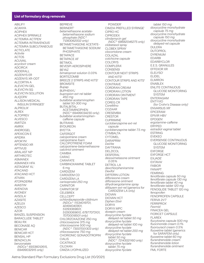# **List of formulary drug removals**

ABILIFY ACANYA ACIPHEX ACIPHEX SPRINKLE ACTEMRA ACTPEN1 ACTEMRA INTRAVENOUS' ACTEMRA SUBCUTANEOUS1 **ACTICLATE** *Activite*  ACTOS ACUVAIL *acyclovir cream*  ADCIRCA1 ADDERALL ADZENYS ER ADZENYS XR-ODT ALCORTIN A ALEVICYN GEL ALEVICYN SG ALEVICYN SOLUTION ALIQOPA1 ALLISON MEDICAL **INSULIN SYRINGES®** ALPROLIX<sup>1</sup> ALREX ALTOPREV ALVESCO AMITIZA AMRIX ANDROGEL APEXICON E APIDRA APOKYN1 APTENSIO XR **APTIVUS**<sup>1</sup> ARALAST NP1 ARTHROTEC ASMANEX ASMANEX HFA ASTAGRAF XL1 ATACAND ATACAND HCT ATIVAN ATOPADERM AVASTIN1 AVENOVA AVONEX1 **AVSOLA** AZASITE **AZFLEX** AZESCO AZOR BANZEL SUSPENSION BARACLUDE TABLET<sup>®</sup> BEAU RX BECONASE AQ BENICAR BENICAR HCT BENSAL HP BENZACLIN *benzonatate (NDCs^ 69336012615, 69499032915 only)* 

# BEPREVE

**BERINERT** *betamethasone acetatebetamethasone sodium phosphate (NDC^ 71283062002 only)* BETAMETHASONE ACETATE-BETAMETHASONE SODIUM PHOSPHATE **BETAPACE** BETAPACE AF BETIMOL BEVESPI AEROSPHERE BEYAZ *bimatoprost solution 0.03%*  BORTEZOMIB1 BREEZE 2 STRIPS AND KITS<sup>8</sup> BROMSITE *Bupap*  BUPHENYL1 *bupropion ext-rel tablet 450 mg butalbital-acetaminophen tablet 50-300 mg*  BUTALBITAL-ACETAMINOPHEN (NDC^ 69499034230 only) *butalbital-acetaminophencaffeine capsule*  BUTRANS BYDUREON BYETTA CAFERGOT *calcipotriene cream calcipotriene foam*  CALCIPOTRIENE FOAM *calcipotriene-betamethasone calcitriol ointment*  **CAMBIA** CARAC CARAFATE CARBINOXAMINE TABLET 6 mg CARDIZEM CARDIZEM CD CARDIZEM LA *carisoprodol 250 mg*  CARNITOR CARNITOR SF **CELEBREX CELLCEPT** *cchlordiazepoxide-clidinium (NDCs^ 11534019701, 42494040901, 51293069601, 51293069610, 67877073101, 70700018501 only)*  CHLORZOXAZONE 250 mg *chlorzoxazone 375 mg chlorzoxazone 500 mg (NDC^ 73007001303 only) chlorzoxazone 750 mg*  CHORIONIC GONADOTROPIN' CIALIS **CICATRACE** CILOXAN CIMZIA LYOPHILIZED

POWDER1 CIMZIA PREFILLED SYRINGE1 CIPRO HC CIPRODEX *clindamycin gel (NDC^ 68682046275 only) clobetasol spray*  CLOBEX SPRAY *clocortolone cream*  COLAZAL *colchicine capsule*  COLCRYS COMPLERA1 **CONSENSI** CONTOUR NEXT STRIPS **AND KITS<sup>8</sup>** CONTOUR STRIPS AND KITS<sup>8</sup> CONTRAVE CORDRAN CREAM CORDRAN LOTION CORDRAN OINTMENT CORDRAN TAPE COREG CR *CoreMino*  COZAAR CRESEMBA CRESTOR CUPRIMINE *cyclobenzaprine ext-rel capsule cyclobenzaprine tablet 7.5 mg*  **CYMBALTA** CYTOMEL DARAPRIM *DaVite*  DAYTRANA DELZICOL DESFERAL<sup>1</sup> *desoximetasone ointment 0.05%*  DETROL LA *dexchlorpheniramine Dexifol*  DIFFERIN LOTION *diflorasone cream diflorasone ointment dihydroergotamine spray diltiazem ext-rel* (generics for CARDIZEM LA only) DIOVAN DIOVAN HCT *Diphen Elixir*  DORYX DORYX MPC *doxepin cream doxycycline hyclate delayed-rel tablet 50 mg doxycycline hyclate delayed-rel tablet 100 mg doxycycline hyclate delayed-rel tablet 200 mg doxycycline hyclate tablet 50 mg (NDC^ 72143021160 only) doxycycline hyclate tablet 75 mg doxycycline hyclate* 

*tablet 150 mg doxycycline monohydrate capsule 75 mg doxycycline monohydrate capsule 150 mg doxycycline monohydrate delayed-rel capsule*  DULERA DUTOPROL DYRENIUM EDARBI EDARBYCLOR E.E.S. GRANULES EFFEXOR XR ELELYSO1 ELIDEL ELMIRON ENABLEX ENLITE CONTINUOUS GLUCOSE MONITORING **SYSTEM** ENTERAGAM ENTYVIO (for Crohn's Disease only)<sup>1</sup> ENVARSUS XR1 EPICERAM EPIVIR HBV1 EPOGEN<sup>®</sup> *ergotamine-caffeine*  ERYPED *estradiol vaginal tablet*  ESTRING EVEKEO EVERSENSE CONTINUOUS GLUCOSE MONITORING **SYSTEM** EXFORGE EXFORGE HCT EXJADE1 EXTAVIA<sup>1</sup> FABIOR FANAPT FEMRING *fenofibrate capsule 50 mg fenofibrate capsule 130 mg fenofibrate tablet 40 mg fenofibrate tablet 120 mg*  FENOGLIDE TABLET 120 mg *fenoprofen*  FENOPROFEN CAPSULE FERIVA 21/7 FERRIPROX1 *Fexmid*  FINACEA GEL FIORICET CAPSULE FLAREX *flucytosine capsule 500 mg fluocinonide cream 0.1% fluorouracil cream 0.5% fluoxetine tablet* (generics for SARAFEM only) *fluoxetine tablet 60 mg flurandrenolide cream flurandrenolide lotion flurandrenolide ointment*  FML FORTE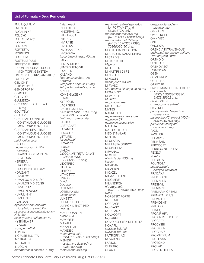# List of Formulary Drug Removals

FML LIQUIFILM FML S.O.P. FOCALIN XR FOLIC-K FOLLISTIM AQ1 *Folvite-D*  FORTAMET FORTESTA FOSRENOL FOSTEUM FOSTEUM PLUS FREESTYLE LIBRE CONTINUOUS GLUCOSE MONITORING SYSTEM **FREESTYLE STRIPS AND KITS<sup>8</sup>** FULPHILA1 GEL-ONE1 *Genicin Vita-S*  **GENOTROPIN'** GLASSIA1 GLEEVEC1 GLUMETZA GLYCOPYRROLATE TABLET 1.5 mg **GOLYTELY** GRANIX1 GUARDIAN CONNECT CONTINUOUS GLUCOSE MONITORING SYSTEM GUARDIAN REAL-TIME CONTINUOUS GLUCOSE MONITORING SYSTEM *halcinonide cream*  HAI OG *heparin sodium in 5% dextrose*  HEPARIN SODIUM IN 5% DEXTROSE HEPSERA1 **HERCEPTIN**<sup>1</sup> HERCEPTIN HYLECTA<sup>1</sup> HORIZANT HUMALOG HUMALOG MIX 50/50 HUMALOG MIX 75/25 **HUMATROPF** HUMULIN 70/304 HUMULIN N<sup>4</sup> HUMULIN R<sup>4</sup> **HYALGAN** *hydrocortisone butyrate lipophilic cream 0.1% hydrocortisone butyrate lotion HylaVite hyoscyamine sulfate ext-rel*  HYSINGLA ER HYZAAR *icosapent ethyl*  ILUMYA1 INCRUSE ELLIPTA INDERAL LA INDERAL XL INDOCIN *indomethacin capsule 20 mg* 

*Inflammacin*  INFLECTRA1 INNOPRAN XL INTRAROSA INTUNIV INVIRASE1 INVOKAMET INVOKAMET XR INVOKANA *isosorbide dinitrate 40 mg*  JALYN JENTADUETO JENTADUETO XR KAMDOY KAZANO *ketoconazole foam 2% Ketodan ketoprofen capsule 25 mg ketoprofen ext-rel capsule*  KINERET1 KOMBIGLYZE XR KUVAN1 **KYPROLIS** LACRISERT LACTULOSE PAK *LANOXIN TABLET (125 mcg and 250 mcg only) lanthanum carbonate*  LANTUS LASTACAFT LAZANDA LESCOL XL LETAIRIS<sup>1</sup> *levorphanol*  LEXAPRO LEXIVA<sup>1</sup> LIALDA *LIDOCAINE-TETRACAINE CREAM (NDC^ 71800063115 only)*  LIDOTREX LILETTA1 LIPITOR LITHOSTAT LIVALO *Lorid Lorzone*  LOTEMAX LOTEMAX SM *luliconazole*  **LUNESTA** LUPRON DEPOT<sup>1</sup> LUPRON DEPOT-PED' LYRICA MACRODANTIN *Matzim LA*  MAVYRET<sup>1</sup> MAXALT MAXALT-MLT MAXIDEX *mefenamic acid (NDC^ 69336012830 only)*  **MENEST** *mesalamine delayed-rel tablet 800 mg metaxalone 400 mg* 

*metformin ext-rel* (generics for FORTAMET and GLUMETZA only) *methocarbamol 500 mg (NDC^ 69036091010 only) methocarbamol 750 mg (NDCs^ 69036093090, 70868090190 only)*  MIACALCIN INJECTION MIACALCIN NASAL SPRAY MICARDIS MICARDIS HCT *Migergot*  MILLIPRED MINASTRIN 24 FE MINIVELLE MINOCIN *minocycline ext-rel*  **MIRVASO** *Mondoxyne NL capsule 75 mg* MONOVISC<sup>1</sup> MOVIPREP *MultiPro mupirocin cream*  **MYFORTIC MYTESI** NAPRELAN *naproxen-esomeprazole naproxen CR naproxen suspension*  NATAZIA NATURE-THROID NEO-SYNALAR **NESINA NEULASTA** NEULASTA ONPRO1 NEUPOGEN<sup>1</sup> NEVANAC NEXIUM *niacin tablet 500 mg Niacor*  NICADAN NICAPRIN NICAZEL NICAZEL FORTE NICOMIDE NILANDRON *nitrofurantoin (NDC^ 70408023932 only) Nolix*  NORGESIC FORTE **NORITATE** NORPACE **NORVASC** NOURIANZ NOVACORT NOVAREL1 NOVO NORDISK NEEDLES<sup>6</sup> NOXAFIL *NuDiclo SoluPak NuDiclo TabPak*  NUTROPIN AQ1 NUVARING NUVIGIL OLEPTRO OLUX-E

*omeprazole-sodium bicarbonate*  **OMNARIS** OMNITROPE1 **OMNIVEX** ONFI ONGLYZA ORENCIA INTRAVENOUS<sup>1</sup> *orphenadrine-aspirin-caffeine Orphengesic Forte*  ORTHO D ORTHO DF ORTHOVISC<sup>1</sup> *Oscimin SR*  OSENI **OSMOPREP OSPHENA** OTREXUP1 OWEN MUMFORD NEEDLES<sup>6</sup> *oxiconazole (NDCs^ 00168035830, 51672135902 only)*  OXYCONTIN *oxymorphone ext-rel*  **OXYTROL** *pantoprazole delayed-rel suspension paroxetine HCl ext-rel (NDC^ 60505367503 only) paroxetine mesylate capsule 7.5 mg*  PAXIL PAXIL CR PEGASYS<sup>1</sup> PENNSAID PERCOCET PERRIGO NEEDLES<sup>6</sup> PEXEVA PLAVIX PI FGRIDY<sup>1</sup> POLYTOZA *posaconazole delayed-rel tablet*  PRADAXA PRED FORTE PRED MILD PREGNYL<sup>1</sup> PREMARIN PREMARIN CREAM PRENATAL PLUS PREVACID PREVIDENT PRILOSEC PRISTIQ PROAIR HFA PROAIR RESPICLICK PROCRIT<sup>1</sup> **PROCYSBI** PRODIGEN PROGRAF1 PROMETRIUM PROLENSA PROTONIX PROVAD PROVENTIL HFA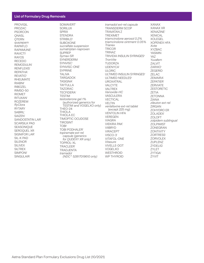# List of Formulary Drug Removals

PROVIGIL PROZAC PSORCON **ONASL OTERN** *quazepam*  RAPAFLO RAPAMUNE1 RAVICTI<sup>1</sup> RAYOS RECEDO REMODULIN1 **RENFLEXIS<sup>1</sup>** REPATHA1 REVATIO1 RHEUMATE RIABNI1 RIBOZEL RIMSO-50 RIOMET RITUXAN1 ROZEREM *RyClora*  RYTARY SABRIL<sup>1</sup> SAIZEN1 SANDOSTATIN LAR<sup>1</sup> SCARSILK PAD SEASONIQUE SEROQUEL XR SIGNIFOR LAR<sup>1</sup> SIL-K PAD SILENOR SILIVEX **SILTREX SIMPONI**<sup>1</sup> SINGULAIR

SOMAVERT<sup>1</sup> SORILUX SPRIX **STENDRA** STRIBILD<sup>1</sup> SUBOXONE *sucralfate suspension sumatriptan-naproxen*  SUPREP *Symax-SR*  SYNERDERM SYNVISC<sup>1</sup> SYNVISC-ONE1 SYPRINE TALIVA TARGADOX TASIGNA1 TAYTULLA TAZORAC **TECFIDERA<sup>1</sup> TESTIM** *testosterone gel 1%*  (authorized generics for TESTIM and VOGELXO only) THEO-24 THIOLA THIOLA EC TIMOPTIC OCUDOSE TIROSINT TOBI1 TOBI PODHALER<sup>1</sup> *topiramate ext-rel capsule (generics for QUDEXY XR only)*  TOPROL-XL **TRACLEER<sup>1</sup>** TRADJENTA *tramadol (NDC^ 52817019610 only)* 

*tramadol ext-rel capsule*  TRANSDERM SCOP TRAVATAN Z TREXIMET *triamcinolone aerosol 0.2% triamcinolone ointment 0.05% Trianex*  **TRICOR** TRINAZ TRIVIDIA INSULIN SYRINGES<sup>6</sup> *TronVite*  TUDORZA UDENYCA<sup>1</sup> ULORIC ULTIMED INSULIN SYRINGES<sup>6</sup> ULTIMED NEEDLES<sup>6</sup> UROXATRAL VALCYTE VALTREX *Vanoxide-HC*  **VASCULERA** VECTICAL VELTIN *venlafaxine ext-rel tablet*  (except *225 mg*) VENTOLIN HFA VEREGEN VIAGRA VIEKIRA PAK<sup>1</sup> VIIBRYD VIRACEPT<sup>1</sup> VISCO-31 VITAFOL-ONE *Vitasure*  VIVELLE-DOT VOGELXO **WESTHROID** WP THYROID

XANAX XANAX XR XENAZINE1 XENICAL XOLEGEL XOPENEX HFA *Xvite*  XYZBAC YASMIN YAZ *Yuvafem*  ZALVIT ZARXIO1 ZEGERID ZELAC ZEMAIRA1 ZEPATIER1 ZERVIATE ZESTORETIC ZETIA ZETONNA ZIANA *zileuton ext-rel*  ZIRGAN ZOHYDRO ER ZOLADEX1 ZOLOFT *zolpidem sublingual*  ZOLPIMIST ZONEGRAN ZONTIVITY **ZORTRESS<sup>®</sup> ZORVOLEX** ZUPLENZ ZYDELIG1 ZYLET ZYTIGA<sup>1</sup> ZYVIT